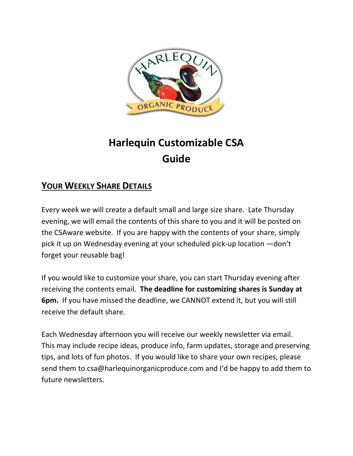

# **Harlequin Customizable CSA Guide**

## **YOUR WEEKLY SHARE DETAILS**

Every week we will create a default small and large size share. Late Thursday evening, we will email the contents of this share to you and it will be posted on the CSAware website. If you are happy with the contents of your share, simply pick it up on Wednesday evening at your scheduled pick-up location —don't forget your reusable bag!

If you would like to customize your share, you can start Thursday evening after receiving the contents email. **The deadline for customizing shares is Sunday at 6pm.** If you have missed the deadline, we CANNOT extend it, but you will still receive the default share.

Each Wednesday afternoon you will receive our weekly newsletter via email. This may include recipe ideas, produce info, farm updates, storage and preserving tips, and lots of fun photos. If you would like to share your own recipes, please send them to csa@harlequinorganicproduce.com and I'd be happy to add them to future newsletters.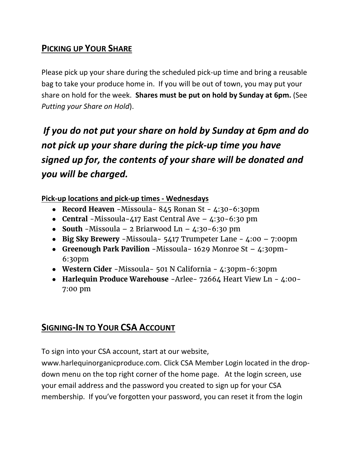# **PICKING UP YOUR SHARE**

Please pick up your share during the scheduled pick-up time and bring a reusable bag to take your produce home in. If you will be out of town, you may put your share on hold for the week. **Shares must be put on hold by Sunday at 6pm.** (See *Putting your Share on Hold*).

*If you do not put your share on hold by Sunday at 6pm and do not pick up your share during the pick-up time you have signed up for, the contents of your share will be donated and you will be charged.*

**Pick-up locations and pick-up times - Wednesdays**

- **Record Heaven** -Missoula- 845 Ronan St 4:30-6:30pm
- **Central** -Missoula-417 East Central Ave 4:30-6:30 pm
- **South** -Missoula 2 Briarwood Ln  $4:30-6:30$  pm
- **Big Sky Brewery** -Missoula- 5417 Trumpeter Lane 4:00 7:00pm
- **Greenough Park Pavilion** -Missoula- 1629 Monroe St 4:30pm-6:30pm
- **Western Cider** -Missoula- 501 N California 4:30pm-6:30pm
- **Harlequin Produce Warehouse** -Arlee- 72664 Heart View Ln 4:00- 7:00 pm

## **SIGNING-IN TO YOUR CSA ACCOUNT**

To sign into your CSA account, start at our website,

www.harlequinorganicproduce.com. Click CSA Member Login located in the dropdown menu on the top right corner of the home page. At the login screen, use your email address and the password you created to sign up for your CSA membership. If you've forgotten your password, you can reset it from the login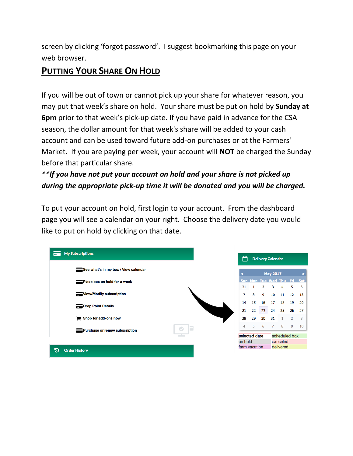screen by clicking 'forgot password'. I suggest bookmarking this page on your web browser.

## **PUTTING YOUR SHARE ON HOLD**

If you will be out of town or cannot pick up your share for whatever reason, you may put that week's share on hold. Your share must be put on hold by **Sunday at 6pm** prior to that week's pick-up date**.** If you have paid in advance for the CSA season, the dollar amount for that week's share will be added to your cash account and can be used toward future add-on purchases or at the Farmers' Market. If you are paying per week, your account will **NOT** be charged the Sunday before that particular share.

## *\*\*If you have not put your account on hold and your share is not picked up during the appropriate pick-up time it will be donated and you will be charged.*

To put your account on hold, first login to your account. From the dashboard page you will see a calendar on your right. Choose the delivery date you would like to put on hold by clicking on that date.

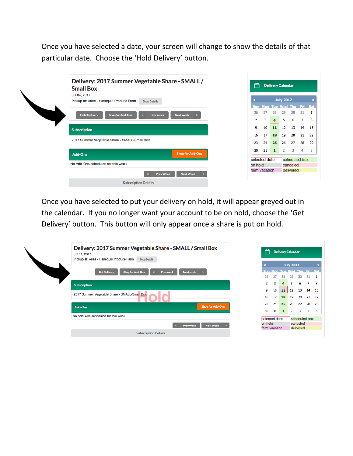Once you have selected a date, your screen will change to show the details of that particular date. Choose the 'Hold Delivery' button.

| <b>Small Box</b>                              | Delivery: 2017 Summer Vegetable Share - SMALL /<br>Jul 04, 2017<br>Pickup at: Arlee - Harlequin Produce Farm<br><b>Drop Details</b> |                         |  |                     |                                   | صم<br><b>Delivery Calendar</b> |                  |               |         |         |  |  |
|-----------------------------------------------|-------------------------------------------------------------------------------------------------------------------------------------|-------------------------|--|---------------------|-----------------------------------|--------------------------------|------------------|---------------|---------|---------|--|--|
|                                               |                                                                                                                                     |                         |  |                     |                                   |                                | <b>July 2017</b> |               |         |         |  |  |
|                                               |                                                                                                                                     |                         |  | 26                  | Sun Mon Tue Wed Thu Fri Sat<br>27 | 28                             | 29               |               |         |         |  |  |
| <b>Hold Delivery</b>                          | <b>Shop for Add-Ons</b><br><b>Prev week</b><br>$\alpha$                                                                             | <b>Next week</b>        |  | $\overline{2}$      | 3                                 | 4 <sup>1</sup>                 | 5                | 30<br>6       | 31<br>7 | -1<br>8 |  |  |
| <b>Subscription</b>                           |                                                                                                                                     |                         |  | 9                   | 10                                | 11                             | 12               | 13            | 14      | 15      |  |  |
|                                               |                                                                                                                                     |                         |  | 16                  | 17                                | 18                             | 19               | 20            | 21      | 22      |  |  |
| 2017 Summer Vegetable Share - SMALL/Small Box |                                                                                                                                     |                         |  | 23                  | 24                                | 25                             | 26               | 27            | 28      | 29      |  |  |
| <b>Add-Ons</b>                                |                                                                                                                                     | <b>Shop for Add-Ons</b> |  | 30                  | 31                                | 1                              | 2                | 3             | 4       | 5       |  |  |
|                                               |                                                                                                                                     |                         |  |                     | selected date                     |                                |                  | scheduled box |         |         |  |  |
|                                               | No Add-Ons scheduled for this week                                                                                                  |                         |  | on hold<br>canceled |                                   |                                |                  |               |         |         |  |  |
|                                               | <b>Prev Week</b>                                                                                                                    | <b>Next Week</b>        |  |                     | farm vacation                     |                                |                  | delivered     |         |         |  |  |
|                                               | <b>Subscription Details</b>                                                                                                         |                         |  |                     |                                   |                                |                  |               |         |         |  |  |

Once you have selected to put your delivery on hold, it will appear greyed out in the calendar. If you no longer want your account to be on hold, choose the 'Get Delivery' button. This button will only appear once a share is put on hold.

| Delivery: 2017 Summer Vegetable Share - SMALL / Small Box<br>Jul 11, 2017<br>Pickup at: Arlee - Harlequin Produce Farm<br><b>Drop Details</b> | ڪم<br><b>Delivery Calendar</b> |               |    |    |                  |                         |                |      |  |
|-----------------------------------------------------------------------------------------------------------------------------------------------|--------------------------------|---------------|----|----|------------------|-------------------------|----------------|------|--|
|                                                                                                                                               |                                |               |    |    | <b>July 2017</b> |                         |                |      |  |
| <b>Shop for Add-Ons</b><br><b>Next week</b><br><b>Get Delivery</b><br><b>Prev week</b>                                                        |                                |               |    |    |                  | Mon Tue Wed Thu Fri Sat |                |      |  |
|                                                                                                                                               |                                | 26            | 27 | 28 | 29               | 30                      | 31             |      |  |
| <b>Subscription</b>                                                                                                                           |                                |               |    |    |                  | 6                       | 7              | 8    |  |
|                                                                                                                                               |                                | 9             | 10 | 11 | 12               | 13                      | 14             | - 15 |  |
| 2017 Summer Vegetable Share - SMALL/Small Box                                                                                                 |                                | 16            | 17 | 18 | 19               | 20                      | 21             | -22  |  |
| <b>Shop for Add-Ons</b><br><b>Add-Ons</b>                                                                                                     |                                | 23            | 24 | 25 | 26               | 27                      | 28             | -29  |  |
|                                                                                                                                               |                                | 30            | 31 | 1  |                  | 3                       | $\overline{4}$ | -5   |  |
| No Add-Ons scheduled for this week                                                                                                            |                                |               |    |    | scheduled box    |                         |                |      |  |
| <b>Prev Week</b><br><b>Next Week</b>                                                                                                          |                                | on hold       |    |    |                  | canceled                |                |      |  |
| <b>Subscription Details</b>                                                                                                                   |                                | farm vacation |    |    |                  | delivered               |                |      |  |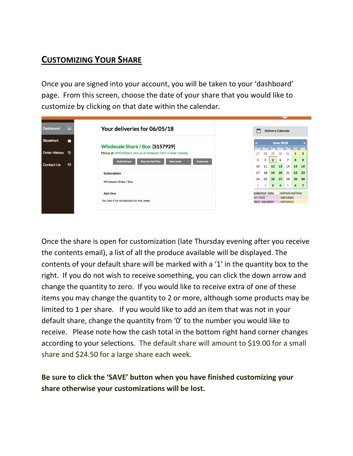# **CUSTOMIZING YOUR SHARE**

Once you are signed into your account, you will be taken to your 'dashboard' page. From this screen, choose the date of your share that you would like to customize by clicking on that date within the calendar.

| Dashboard            | ▭ | Your deliveries for 06/05/18                                                            | مم      |               | <b>Delivery Calendar</b>      |                      |                       |            |                      |
|----------------------|---|-----------------------------------------------------------------------------------------|---------|---------------|-------------------------------|----------------------|-----------------------|------------|----------------------|
| Storefront           | ≜ | Wholesale Share / Box [S157929]                                                         | Sun     |               |                               | <b>June 2018</b>     | Tue Wed Thu           | Fri Sat    |                      |
| <b>Order History</b> | ಾ | Pickup at: WHOLESALE pick up at Harlequin Farm in Arlee Tuesday                         | 27      | Mon-<br>28    | 29                            | 30                   | 31                    | 1.         |                      |
| <b>Contact Us</b>    | ଇ | <b>Shop for Add-Ons</b><br><b>Hold Delivery</b><br><b>Customize</b><br><b>Next week</b> | 3<br>10 | 4<br>11       | 5<br>12 <sub>1</sub>          | 6<br>13              | 7<br>14               | 8<br>15 16 |                      |
|                      |   | <b>Subscription</b>                                                                     | 17      | 18            | 19                            | 20                   | 21                    | 22 23      |                      |
|                      |   | Wholesale Share / Box                                                                   | 24      | 25<br>2       | 26<br>$\overline{\mathbf{3}}$ | 27<br>$\overline{4}$ | 28<br>$5 -$           | 29<br>6    | 30<br>$\overline{7}$ |
|                      |   | Add-Ons                                                                                 |         | selected date |                               |                      | scheduled box         |            |                      |
|                      |   | No Add-Ons scheduled for this week                                                      | on hold | farm vacation |                               |                      | canceled<br>delivered |            |                      |

Once the share is open for customization (late Thursday evening after you receive the contents email), a list of all the produce available will be displayed. The contents of your default share will be marked with a '1' in the quantity box to the right. If you do not wish to receive something, you can click the down arrow and change the quantity to zero. If you would like to receive extra of one of these items you may change the quantity to 2 or more, although some products may be limited to 1 per share. If you would like to add an item that was not in your default share, change the quantity from '0' to the number you would like to receive. Please note how the cash total in the bottom right hand corner changes according to your selections. The default share will amount to \$19.00 for a small share and \$24.50 for a large share each week.

## **Be sure to click the 'SAVE' button when you have finished customizing your share otherwise your customizations will be lost.**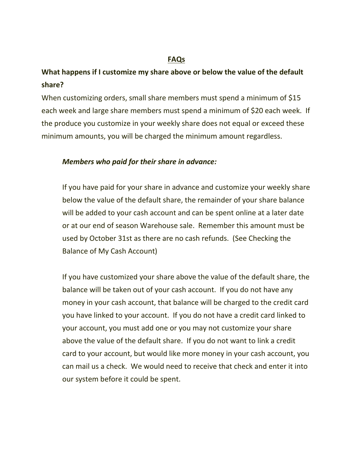## **FAQs**

## **What happens if I customize my share above or below the value of the default share?**

When customizing orders, small share members must spend a minimum of \$15 each week and large share members must spend a minimum of \$20 each week. If the produce you customize in your weekly share does not equal or exceed these minimum amounts, you will be charged the minimum amount regardless.

## *Members who paid for their share in advance:*

If you have paid for your share in advance and customize your weekly share below the value of the default share, the remainder of your share balance will be added to your cash account and can be spent online at a later date or at our end of season Warehouse sale. Remember this amount must be used by October 31st as there are no cash refunds. (See Checking the Balance of My Cash Account)

If you have customized your share above the value of the default share, the balance will be taken out of your cash account. If you do not have any money in your cash account, that balance will be charged to the credit card you have linked to your account. If you do not have a credit card linked to your account, you must add one or you may not customize your share above the value of the default share. If you do not want to link a credit card to your account, but would like more money in your cash account, you can mail us a check. We would need to receive that check and enter it into our system before it could be spent.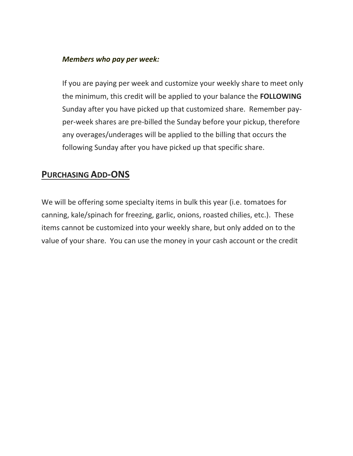### *Members who pay per week:*

If you are paying per week and customize your weekly share to meet only the minimum, this credit will be applied to your balance the **FOLLOWING** Sunday after you have picked up that customized share. Remember payper-week shares are pre-billed the Sunday before your pickup, therefore any overages/underages will be applied to the billing that occurs the following Sunday after you have picked up that specific share.

## **PURCHASING ADD-ONS**

We will be offering some specialty items in bulk this year (i.e. tomatoes for canning, kale/spinach for freezing, garlic, onions, roasted chilies, etc.). These items cannot be customized into your weekly share, but only added on to the value of your share. You can use the money in your cash account or the credit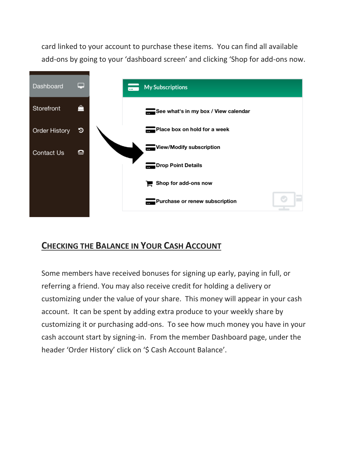card linked to your account to purchase these items. You can find all available add-ons by going to your 'dashboard screen' and clicking 'Shop for add-ons now.



## **CHECKING THE BALANCE IN YOUR CASH ACCOUNT**

Some members have received bonuses for signing up early, paying in full, or referring a friend. You may also receive credit for holding a delivery or customizing under the value of your share. This money will appear in your cash account. It can be spent by adding extra produce to your weekly share by customizing it or purchasing add-ons. To see how much money you have in your cash account start by signing-in. From the member Dashboard page, under the header 'Order History' click on '\$ Cash Account Balance'.